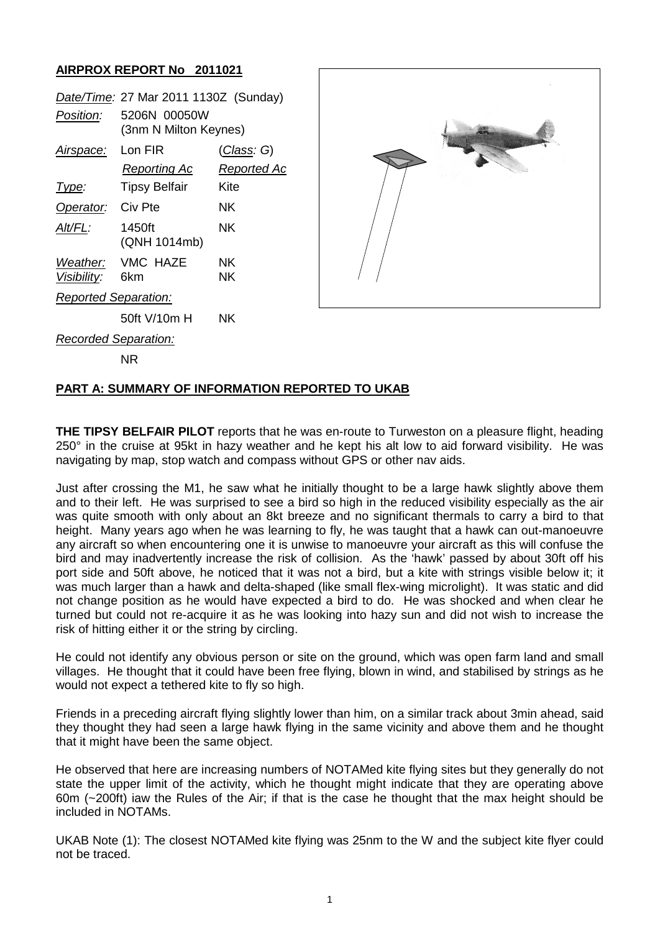## **AIRPROX REPORT No 2011021**

|                             | Date/Time: 27 Mar 2011 1130Z (Sunday) |                    |
|-----------------------------|---------------------------------------|--------------------|
| <i>Position:</i>            | 5206N 00050W<br>(3nm N Milton Keynes) |                    |
| Airspace:                   | l on FIR                              | <u>(Class</u> : G) |
|                             | Reporting Ac                          | Reported Ac        |
| Type:                       | <b>Tipsy Belfair</b>                  | Kite               |
| Operator:                   | Civ Pte                               | NΚ                 |
| Alt/FL:                     | 1450ft<br>(QNH 1014mb)                | ΝK                 |
| Visibility: 6km             | Weather: VMC HAZE                     | NΚ<br>ΝK           |
| <b>Reported Separation:</b> |                                       |                    |
|                             | 50ft V/10m H                          | ΝK                 |
| <b>Recorded Separation:</b> |                                       |                    |

NR



## **PART A: SUMMARY OF INFORMATION REPORTED TO UKAB**

**THE TIPSY BELFAIR PILOT** reports that he was en-route to Turweston on a pleasure flight, heading 250° in the cruise at 95kt in hazy weather and he kept his alt low to aid forward visibility. He was navigating by map, stop watch and compass without GPS or other nav aids.

Just after crossing the M1, he saw what he initially thought to be a large hawk slightly above them and to their left. He was surprised to see a bird so high in the reduced visibility especially as the air was quite smooth with only about an 8kt breeze and no significant thermals to carry a bird to that height. Many years ago when he was learning to fly, he was taught that a hawk can out-manoeuvre any aircraft so when encountering one it is unwise to manoeuvre your aircraft as this will confuse the bird and may inadvertently increase the risk of collision. As the 'hawk' passed by about 30ft off his port side and 50ft above, he noticed that it was not a bird, but a kite with strings visible below it; it was much larger than a hawk and delta-shaped (like small flex-wing microlight). It was static and did not change position as he would have expected a bird to do. He was shocked and when clear he turned but could not re-acquire it as he was looking into hazy sun and did not wish to increase the risk of hitting either it or the string by circling.

He could not identify any obvious person or site on the ground, which was open farm land and small villages. He thought that it could have been free flying, blown in wind, and stabilised by strings as he would not expect a tethered kite to fly so high.

Friends in a preceding aircraft flying slightly lower than him, on a similar track about 3min ahead, said they thought they had seen a large hawk flying in the same vicinity and above them and he thought that it might have been the same object.

He observed that here are increasing numbers of NOTAMed kite flying sites but they generally do not state the upper limit of the activity, which he thought might indicate that they are operating above 60m (~200ft) iaw the Rules of the Air; if that is the case he thought that the max height should be included in NOTAMs.

UKAB Note (1): The closest NOTAMed kite flying was 25nm to the W and the subject kite flyer could not be traced.